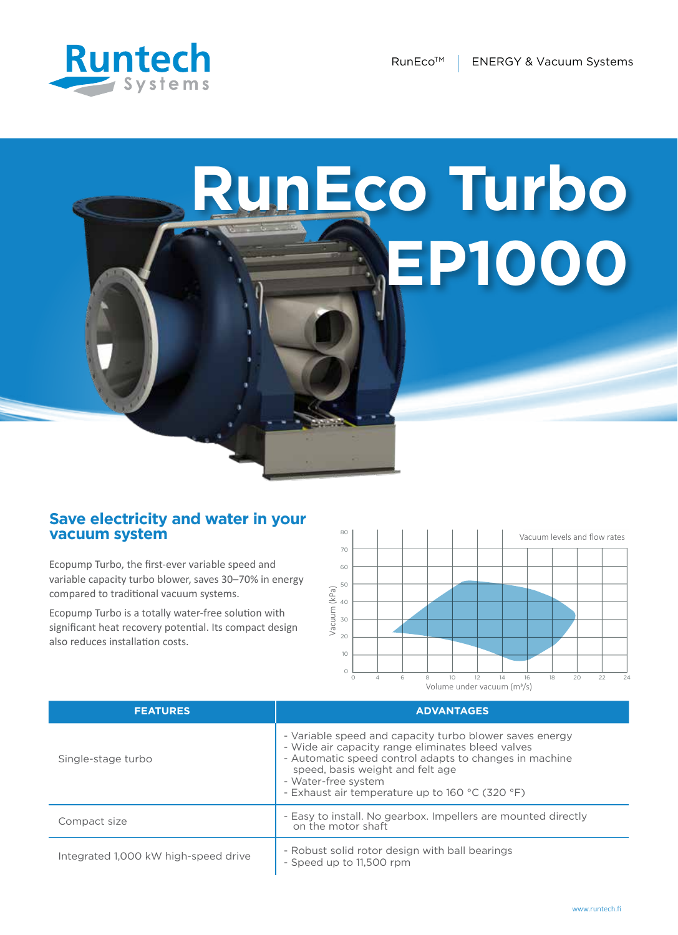

## **RunEco Turbo EP1000**

## **Save electricity and water in your vacuum system**

Ecopump Turbo, the first-ever variable speed and variable capacity turbo blower, saves 30–70% in energy compared to traditional vacuum systems.

Ecopump Turbo is a totally water-free solution with significant heat recovery potential. Its compact design also reduces installation costs.



| <b>FEATURES</b>                      | <b>ADVANTAGES</b>                                                                                                                                                                                                                                                                    |
|--------------------------------------|--------------------------------------------------------------------------------------------------------------------------------------------------------------------------------------------------------------------------------------------------------------------------------------|
| Single-stage turbo                   | - Variable speed and capacity turbo blower saves energy<br>- Wide air capacity range eliminates bleed valves<br>- Automatic speed control adapts to changes in machine<br>speed, basis weight and felt age<br>- Water-free system<br>- Exhaust air temperature up to 160 °C (320 °F) |
| Compact size                         | - Easy to install. No gearbox. Impellers are mounted directly<br>on the motor shaft                                                                                                                                                                                                  |
| Integrated 1,000 kW high-speed drive | - Robust solid rotor design with ball bearings<br>- Speed up to 11,500 rpm                                                                                                                                                                                                           |